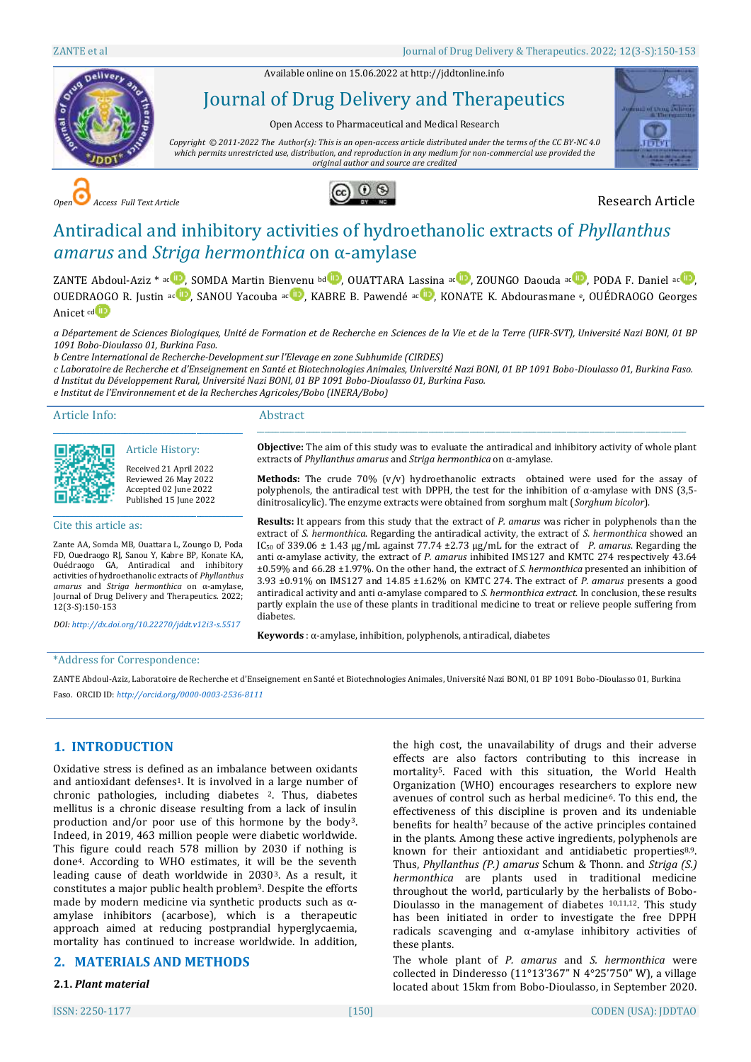Available online on 15.06.2022 a[t http://jddtonline.info](http://jddtonline.info/)



# Journal of Drug Delivery and Therapeutics

Open Access to Pharmaceutical and Medical Research

*Copyright © 2011-2022 The Author(s): This is an open-access article distributed under the terms of the CC BY-NC 4.0 which permits unrestricted use, distribution, and reproduction in any medium for non-commercial use provided the original author and source are credited*



*Open Access Full Text Article* Research Article



# Antiradical and inhibitory activities of hydroethanolic extracts of *Phyllanthus amarus* and *Striga hermonthica* on α-amylase

ZANTE Abdoul-Aziz \* ac D[,](http://orcid.org/0000-0003-2536-8111) SOMDA Martin Bienvenu b[d](http://orcid.org/0000-0002-9997-2533) D, OUATTARA Lassina a[c](https://orcid.org/0000-0001-9277-0472) D, ZOUNGO Daouda ac D, PODA F. Daniel ac D, OUEDRAOGO R. Justin a[c](http://orcid.org/0000-0002-8301-869X) D, SANOU Yacouba ac D, KABRE B. Pawendé ac D, KONATE K. Abdourasmane e, OUÉDRAOGO Georges Anicet c[d](http://orcid.org/0000-0002-1588-1379)<sup>(i)</sup>

*a Département de Sciences Biologiques, Unité de Formation et de Recherche en Sciences de la Vie et de la Terre (UFR-SVT), Université Nazi BONI, 01 BP 1091 Bobo-Dioulasso 01, Burkina Faso.*

*b Centre International de Recherche-Development sur l'Elevage en zone Subhumide (CIRDES)*

*c Laboratoire de Recherche et d'Enseignement en Santé et Biotechnologies Animales, Université Nazi BONI, 01 BP 1091 Bobo-Dioulasso 01, Burkina Faso. d Institut du Développement Rural, Université Nazi BONI, 01 BP 1091 Bobo-Dioulasso 01, Burkina Faso.*

*e Institut de l'Environnement et de la Recherches Agricoles/Bobo (INERA/Bobo)*

Article Info:

#### Abstract

diabetes.

**Objective:** The aim of this study was to evaluate the antiradical and inhibitory activity of whole plant extracts of *Phyllanthus amarus* and *Striga hermonthica* on α-amylase.

\_\_\_\_\_\_\_\_\_\_\_\_\_\_\_\_\_\_\_\_\_\_\_\_\_\_\_\_\_\_\_\_\_\_\_\_\_\_\_\_\_\_\_\_\_\_\_\_\_\_\_\_\_\_\_\_\_\_\_\_\_\_\_\_\_\_\_\_\_\_\_\_\_\_\_\_\_\_\_\_\_\_\_\_\_\_\_\_\_\_\_\_\_\_\_\_\_\_\_\_\_\_\_\_\_\_\_\_\_\_\_\_\_\_\_

**Methods:** The crude 70% (v/v) hydroethanolic extracts obtained were used for the assay of polyphenols, the antiradical test with DPPH, the test for the inhibition of α-amylase with DNS (3,5dinitrosalicylic). The enzyme extracts were obtained from sorghum malt (*Sorghum bicolor*).

**Results:** It appears from this study that the extract of *P. amarus* was richer in polyphenols than the extract of *S. hermonthica*. Regarding the antiradical activity, the extract of *S. hermonthica* showed an IC<sup>50</sup> of 339.06 ± 1.43 µg/mL against 77.74 ±2.73 µg/mL for the extract of *P. amarus*. Regarding the anti α-amylase activity, the extract of *P. amarus* inhibited IMS127 and KMTC 274 respectively 43.64

partly explain the use of these plants in traditional medicine to treat or relieve people suffering from

Cite this article as:

Zante AA, Somda MB, Ouattara L, Zoungo D, Poda FD, Ouedraogo RJ, Sanou Y, Kabre BP, Konate KA, Ouédraogo GA, Antiradical and inhibitory activities of hydroethanolic extracts of *Phyllanthus amarus* and *Striga hermonthica* on α-amylase, Journal of Drug Delivery and Therapeutics. 2022; 12(3-S):150-153

\_\_\_\_\_\_\_\_\_\_\_\_\_\_\_\_\_\_\_\_\_\_\_\_\_\_\_\_\_\_\_\_\_\_\_\_\_\_\_\_\_\_\_\_\_

\_\_\_\_\_\_\_\_\_\_\_\_\_\_\_\_\_\_\_\_\_\_\_\_\_\_\_\_\_\_\_\_\_\_\_\_\_\_\_\_\_\_\_\_\_ Article History: Received 21 April 2022 Reviewed 26 May 2022 Accepted 02 June 2022 Published 15 June 2022

*DOI[: http://dx.doi.org/10.22270/jddt.v12i3-s.5517](http://dx.doi.org/10.22270/jddt.v12i3-s.5517)* 

±0.59% and 66.28 ±1.97%. On the other hand, the extract of *S. hermonthica* presented an inhibition of 3.93 ±0.91% on IMS127 and 14.85 ±1.62% on KMTC 274. The extract of *P. amarus* presents a good antiradical activity and anti α-amylase compared to *S. hermonthica extract*. In conclusion, these results

**Keywords** : α-amylase, inhibition, polyphenols, antiradical, diabetes

#### \*Address for Correspondence:

ZANTE Abdoul-Aziz, Laboratoire de Recherche et d'Enseignement en Santé et Biotechnologies Animales, Université Nazi BONI, 01 BP 1091 Bobo-Dioulasso 01, Burkina

Faso. ORCID ID: *http://orcid.org/0000-0003-2536-8111*

# **1. INTRODUCTION**

Oxidative stress is defined as an imbalance between oxidants and antioxidant defenses<sup>1</sup>. It is involved in a large number of chronic pathologies, including diabetes 2. Thus, diabetes mellitus is a chronic disease resulting from a lack of insulin production and/or poor use of this hormone by the body3. Indeed, in 2019, 463 million people were diabetic worldwide. This figure could reach 578 million by 2030 if nothing is done4. According to WHO estimates, it will be the seventh leading cause of death worldwide in 20303. As a result, it constitutes a major public health problem3. Despite the efforts made by modern medicine via synthetic products such as αamylase inhibitors (acarbose), which is a therapeutic approach aimed at reducing postprandial hyperglycaemia, mortality has continued to increase worldwide. In addition,

# **2. MATERIALS AND METHODS**

# **2.1.** *Plant material*

the high cost, the unavailability of drugs and their adverse effects are also factors contributing to this increase in mortality5. Faced with this situation, the World Health Organization (WHO) encourages researchers to explore new avenues of control such as herbal medicine6. To this end, the effectiveness of this discipline is proven and its undeniable benefits for health<sup>7</sup> because of the active principles contained in the plants. Among these active ingredients, polyphenols are known for their antioxidant and antidiabetic properties8,9. Thus, *Phyllanthus (P.) amarus* Schum & Thonn. and *Striga (S.) hermonthica* are plants used in traditional medicine throughout the world, particularly by the herbalists of Bobo-Dioulasso in the management of diabetes 10,11,12. This study has been initiated in order to investigate the free DPPH radicals scavenging and  $\alpha$ -amylase inhibitory activities of these plants.

The whole plant of *P. amarus* and *S. hermonthica* were collected in Dinderesso (11°13'367" N 4°25'750" W), a village located about 15km from Bobo-Dioulasso, in September 2020.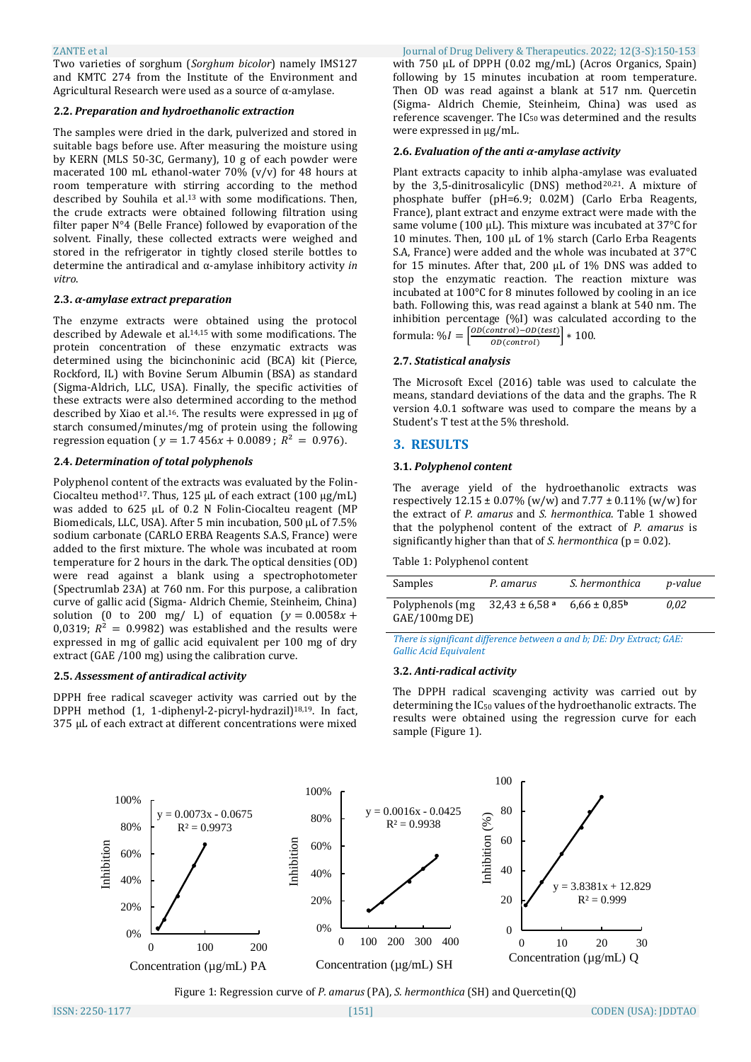Two varieties of sorghum (*Sorghum bicolor*) namely IMS127 and KMTC 274 from the Institute of the Environment and Agricultural Research were used as a source of  $\alpha$ -amylase.

#### **2.2.** *Preparation and hydroethanolic extraction*

The samples were dried in the dark, pulverized and stored in suitable bags before use. After measuring the moisture using by KERN (MLS 50-3C, Germany), 10 g of each powder were macerated 100 mL ethanol-water 70% (v/v) for 48 hours at room temperature with stirring according to the method described by Souhila et al.13 with some modifications. Then, the crude extracts were obtained following filtration using filter paper N°4 (Belle France) followed by evaporation of the solvent. Finally, these collected extracts were weighed and stored in the refrigerator in tightly closed sterile bottles to determine the antiradical and α-amylase inhibitory activity *in vitro*.

#### **2.3.** *α-amylase extract preparation*

The enzyme extracts were obtained using the protocol described by Adewale et al.14,15 with some modifications. The protein concentration of these enzymatic extracts was determined using the bicinchoninic acid (BCA) kit (Pierce, Rockford, IL) with Bovine Serum Albumin (BSA) as standard (Sigma-Aldrich, LLC, USA). Finally, the specific activities of these extracts were also determined according to the method described by Xiao et al.16. The results were expressed in μg of starch consumed/minutes/mg of protein using the following regression equation ( $y = 1.7456x + 0.0089$ ;  $R^2 = 0.976$ ).

# **2.4.** *Determination of total polyphenols*

Polyphenol content of the extracts was evaluated by the Folin-Ciocalteu method<sup>17</sup>. Thus, 125 μL of each extract (100  $\mu$ g/mL) was added to 625 μL of 0.2 N Folin-Ciocalteu reagent (MP Biomedicals, LLC, USA). After 5 min incubation, 500 μL of 7.5% sodium carbonate (CARLO ERBA Reagents S.A.S, France) were added to the first mixture. The whole was incubated at room temperature for 2 hours in the dark. The optical densities (OD) were read against a blank using a spectrophotometer (Spectrumlab 23A) at 760 nm. For this purpose, a calibration curve of gallic acid (Sigma- Aldrich Chemie, Steinheim, China) solution (0 to 200 mg/ L) of equation  $(y = 0.0058x +$ 0,0319;  $R^2 = 0.9982$ ) was established and the results were expressed in mg of gallic acid equivalent per 100 mg of dry extract (GAE /100 mg) using the calibration curve.

#### **2.5.** *Assessment of antiradical activity*

DPPH free radical scaveger activity was carried out by the DPPH method (1, 1-diphenyl-2-picryl-hydrazil)18,19. In fact, 375 µL of each extract at different concentrations were mixed

ZANTE et al Journal of Drug Delivery & Therapeutics. 2022; 12(3-S):150-153 with 750 µL of DPPH (0.02 mg/mL) (Acros Organics, Spain) following by 15 minutes incubation at room temperature. Then OD was read against a blank at 517 nm. Quercetin (Sigma- Aldrich Chemie, Steinheim, China) was used as reference scavenger. The IC50 was determined and the results were expressed in µg/mL.

#### **2.6.** *Evaluation of the anti α-amylase activity*

Plant extracts capacity to inhib alpha-amylase was evaluated by the 3,5-dinitrosalicylic (DNS) method20,21. A mixture of phosphate buffer (pH=6.9; 0.02M) (Carlo Erba Reagents, France), plant extract and enzyme extract were made with the same volume (100 μL). This mixture was incubated at 37°C for 10 minutes. Then, 100 μL of 1% starch (Carlo Erba Reagents S.A, France) were added and the whole was incubated at 37°C for 15 minutes. After that, 200 µL of 1% DNS was added to stop the enzymatic reaction. The reaction mixture was incubated at 100°C for 8 minutes followed by cooling in an ice bath. Following this, was read against a blank at 540 nm. The inhibition percentage (%I) was calculated according to the formula:  $\% I = \left[ \frac{OD(constrol) - OD(test)}{OD(sontrol)} \right] * 100.$  $OD(control)$ 

# **2.7.** *Statistical analysis*

The Microsoft Excel (2016) table was used to calculate the means, standard deviations of the data and the graphs. The R version 4.0.1 software was used to compare the means by a Student's T test at the 5% threshold.

# **3. RESULTS**

# **3.1.** *Polyphenol content*

The average yield of the hydroethanolic extracts was respectively  $12.15 \pm 0.07\%$  (w/w) and  $7.77 \pm 0.11\%$  (w/w) for the extract of *P. amarus* and *S. hermonthica*. Table 1 showed that the polyphenol content of the extract of *P. amarus* is significantly higher than that of *S. hermonthica* (p = 0.02).

Table 1: Polyphenol content

| Samples                         | P. amarus          | S. hermonthica               | p-value |
|---------------------------------|--------------------|------------------------------|---------|
| Polyphenols (mg)<br>GAE/100mgDE | $32,43 \pm 6,58$ a | $6.66 \pm 0.85$ <sup>b</sup> | 0.02    |

*There is significant difference between a and b; DE: Dry Extract; GAE: Gallic Acid Equivalent*

# **3.2.** *Anti-radical activity*

The DPPH radical scavenging activity was carried out by determining the IC<sub>50</sub> values of the hydroethanolic extracts. The results were obtained using the regression curve for each sample (Figure 1).



Figure 1: Regression curve of *P. amarus* (PA), *S. hermonthica* (SH) and Quercetin(Q)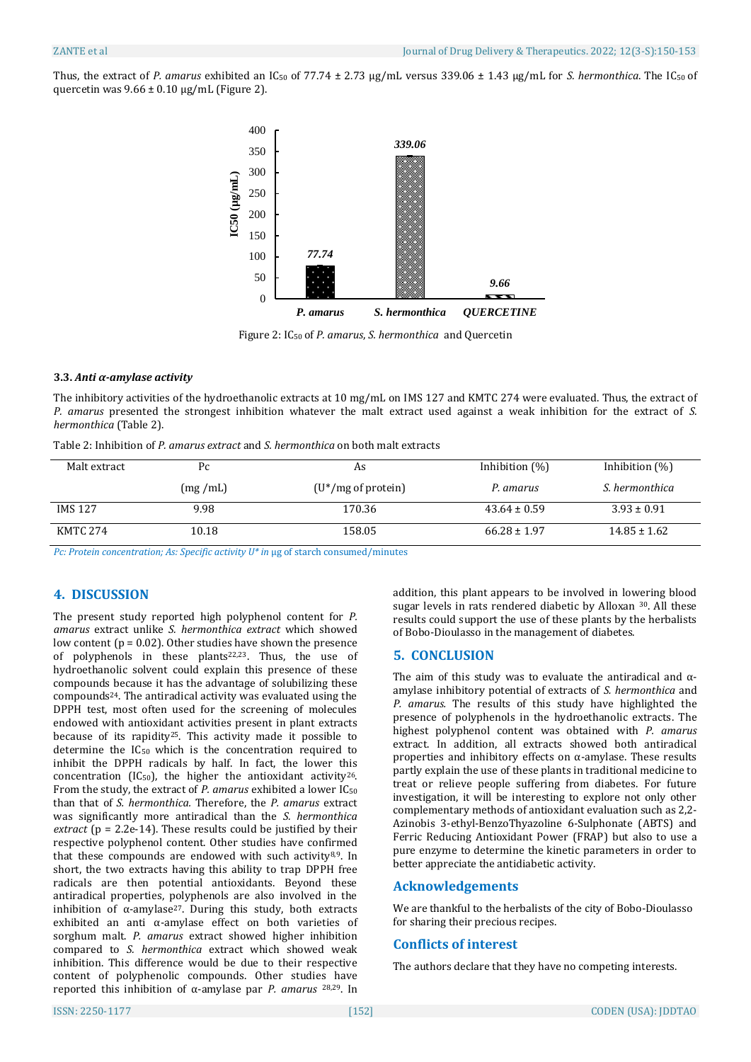Thus, the extract of *P. amarus* exhibited an IC<sub>50</sub> of 77.74 ± 2.73 µg/mL versus 339.06 ± 1.43 µg/mL for *S. hermonthica*. The IC<sub>50</sub> of quercetin was  $9.66 \pm 0.10$  µg/mL (Figure 2).



Figure 2: IC<sup>50</sup> of *P. amarus*, *S. hermonthica* and Quercetin

#### **3.3.** *Anti α-amylase activity*

The inhibitory activities of the hydroethanolic extracts at 10 mg/mL on IMS 127 and KMTC 274 were evaluated. Thus, the extract of *P. amarus* presented the strongest inhibition whatever the malt extract used against a weak inhibition for the extract of *S. hermonthica* (Table 2).

| Table 2: Inhibition of P. amarus extract and S. hermonthica on both malt extracts |  |  |  |
|-----------------------------------------------------------------------------------|--|--|--|
|-----------------------------------------------------------------------------------|--|--|--|

| Malt extract   | Pc      | As                     | Inhibition $(\%)$ | Inhibition $(\%)$ |
|----------------|---------|------------------------|-------------------|-------------------|
|                | (mg/mL) | $(U^*/mg)$ of protein) | P. amarus         | S. hermonthica    |
| <b>IMS 127</b> | 9.98    | 170.36                 | $43.64 \pm 0.59$  | $3.93 \pm 0.91$   |
| KMTC 274       | 10.18   | 158.05                 | $66.28 \pm 1.97$  | $14.85 \pm 1.62$  |

*Pc: Protein concentration; As: Specific activity U\* in* μg of starch consumed/minutes

# **4. DISCUSSION**

The present study reported high polyphenol content for *P. amarus* extract unlike *S. hermonthica extract* which showed low content ( $p = 0.02$ ). Other studies have shown the presence of polyphenols in these plants22,23. Thus, the use of hydroethanolic solvent could explain this presence of these compounds because it has the advantage of solubilizing these compounds24. The antiradical activity was evaluated using the DPPH test, most often used for the screening of molecules endowed with antioxidant activities present in plant extracts because of its rapidity25. This activity made it possible to determine the IC50 which is the concentration required to inhibit the DPPH radicals by half. In fact, the lower this concentration (IC<sub>50</sub>), the higher the antioxidant activity<sup>26</sup>. From the study, the extract of *P. amarus* exhibited a lower IC<sup>50</sup> than that of *S. hermonthica.* Therefore, the *P. amarus* extract was significantly more antiradical than the *S. hermonthica extract* (p = 2.2e-14). These results could be justified by their respective polyphenol content. Other studies have confirmed that these compounds are endowed with such activity8,9. In short, the two extracts having this ability to trap DPPH free radicals are then potential antioxidants. Beyond these antiradical properties, polyphenols are also involved in the inhibition of  $\alpha$ -amylase<sup>27</sup>. During this study, both extracts exhibited an anti α-amylase effect on both varieties of sorghum malt. *P. amarus* extract showed higher inhibition compared to *S. hermonthica* extract which showed weak inhibition. This difference would be due to their respective content of polyphenolic compounds. Other studies have reported this inhibition of α-amylase par *P. amarus* 28,29. In

addition, this plant appears to be involved in lowering blood sugar levels in rats rendered diabetic by Alloxan 30. All these results could support the use of these plants by the herbalists of Bobo-Dioulasso in the management of diabetes.

# **5. CONCLUSION**

The aim of this study was to evaluate the antiradical and αamylase inhibitory potential of extracts of *S. hermonthica* and *P. amarus.* The results of this study have highlighted the presence of polyphenols in the hydroethanolic extracts. The highest polyphenol content was obtained with *P. amarus* extract. In addition, all extracts showed both antiradical properties and inhibitory effects on α-amylase. These results partly explain the use of these plants in traditional medicine to treat or relieve people suffering from diabetes. For future investigation, it will be interesting to explore not only other complementary methods of antioxidant evaluation such as 2,2- Azinobis 3-ethyl-BenzoThyazoline 6-Sulphonate (ABTS) and Ferric Reducing Antioxidant Power (FRAP) but also to use a pure enzyme to determine the kinetic parameters in order to better appreciate the antidiabetic activity.

#### **Acknowledgements**

We are thankful to the herbalists of the city of Bobo-Dioulasso for sharing their precious recipes.

# **Conflicts of interest**

The authors declare that they have no competing interests.